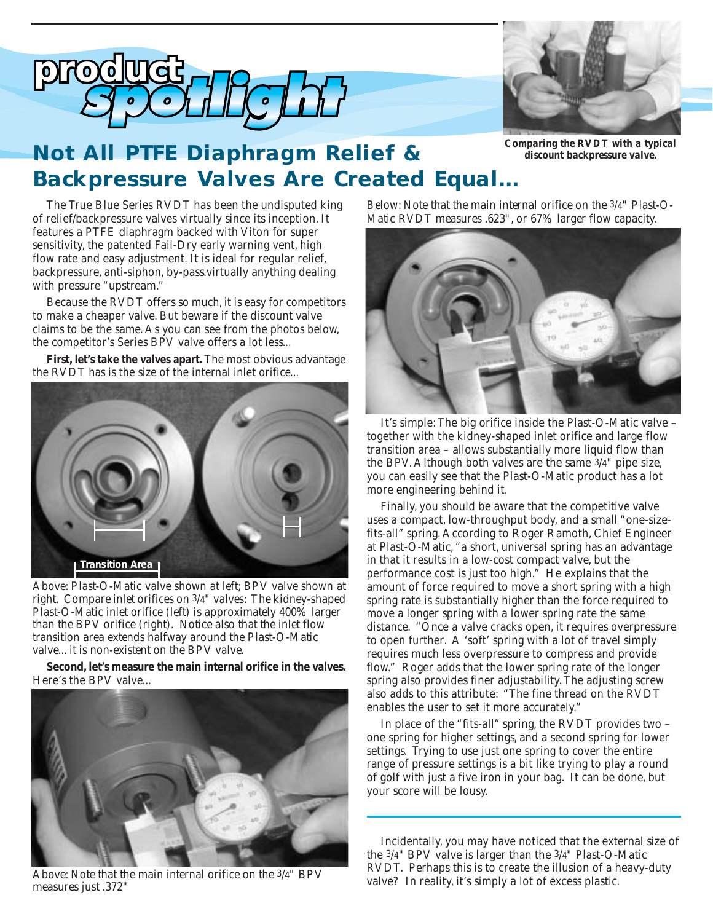



# *Not All PTFE Diaphragm Relief & Backpressure Valves Are Created Equal…*

*discount backpressure valve.*

The True Blue Series RVDT has been the undisputed king of relief/backpressure valves virtually since its inception. It features a PTFE diaphragm backed with Viton for super sensitivity, the patented Fail-Dry early warning vent, high flow rate and easy adjustment. It is ideal for regular relief, backpressure, anti-siphon, by-pass.virtually anything dealing with pressure "upstream." *sales*

> Because the RVDT offers so much, it is easy for competitors to make a cheaper valve. But beware if the discount valve claims to be the same. As you can see from the photos below, the competitor's Series BPV valve offers a lot less...

> **First, let's take the valves apart.** The most obvious advantage the RVDT has is the size of the internal inlet orifice...



*Above: Plast-O-Matic valve shown at left; BPV valve shown at right. Compare inlet orifices on 3/4" valves: The kidney-shaped Plast-O-Matic inlet orifice (left) is approximately 400% larger than the BPV orifice (right). Notice also that the inlet flow transition area extends halfway around the Plast-O-Matic valve... it is non-existent on the BPV valve.*

**Second, let's measure the main internal orifice in the valves.** Here's the BPV valve...



*Above: Note that the main internal orifice on the 3/4" BPV measures just .372"*

*Below: Note that the main internal orifice on the 3/4" Plast-O-Matic RVDT measures .623", or 67% larger flow capacity.*



It's simple: The big orifice inside the Plast-O-Matic valve – together with the kidney-shaped inlet orifice and large flow transition area – allows substantially more liquid flow than the BPV. Although both valves are the same 3/4" pipe size, you can easily see that the Plast-O-Matic product has a lot more engineering behind it.

Finally, you should be aware that the competitive valve uses a compact, low-throughput body, and a small "one-sizefits-all" spring. According to Roger Ramoth, Chief Engineer at Plast-O-Matic, "a short, universal spring has an advantage in that it results in a low-cost compact valve, but the performance cost is just too high." He explains that the amount of force required to move a short spring with a high spring rate is substantially higher than the force required to move a longer spring with a lower spring rate the same distance. "Once a valve cracks open, it requires overpressure to open further. A 'soft' spring with a lot of travel simply requires much less overpressure to compress and provide flow." Roger adds that the lower spring rate of the longer spring also provides finer adjustability. The adjusting screw also adds to this attribute: "The fine thread on the RVDT enables the user to set it more accurately."

In place of the "fits-all" spring, the RVDT provides two – one spring for higher settings, and a second spring for lower settings. Trying to use just one spring to cover the entire range of pressure settings is a bit like trying to play a round of golf with just a five iron in your bag. It can be done, but your score will be lousy.

Incidentally, you may have noticed that the external size of the 3/4" BPV valve is larger than the 3/4" Plast-O-Matic RVDT. Perhaps this is to create the illusion of a heavy-duty valve? In reality, it's simply a lot of excess plastic.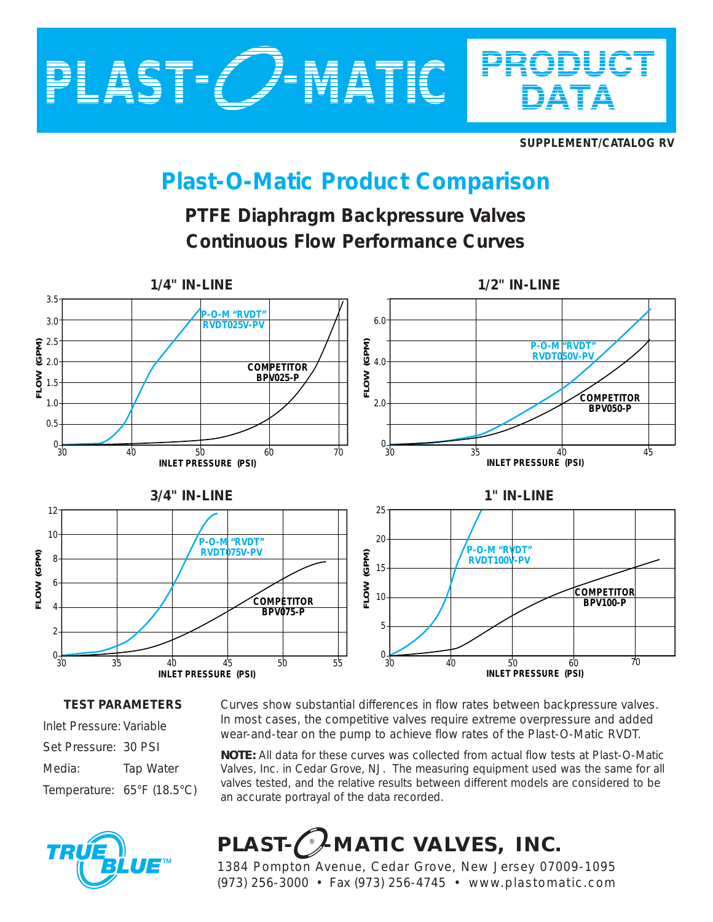

**SUPPLEMENT/CATALOG RV**

# **Plast-O-Matic Product Comparison**

## **PTFE Diaphragm Backpressure Valves Continuous Flow Performance Curves**



### **TEST PARAMETERS**

Inlet Pressure: Variable Set Pressure: 30 PSI Media: Tap Water Temperature: 65°F (18.5°C)



Curves show substantial differences in flow rates between backpressure valves. In most cases, the competitive valves require extreme overpressure and added wear-and-tear on the pump to achieve flow rates of the Plast-O-Matic RVDT.

*NOTE: All data for these curves was collected from actual flow tests at Plast-O-Matic Valves, Inc. in Cedar Grove, NJ. The measuring equipment used was the same for all valves tested, and the relative results between different models are considered to be an accurate portrayal of the data recorded.*

# PLAST-CANATIC VALVES, INC.

1384 Pompton Avenue, Cedar Grove, New Jersey 07009-1095 (973) 256-3000 • Fax (973) 256-4745 • www.plastomatic.com